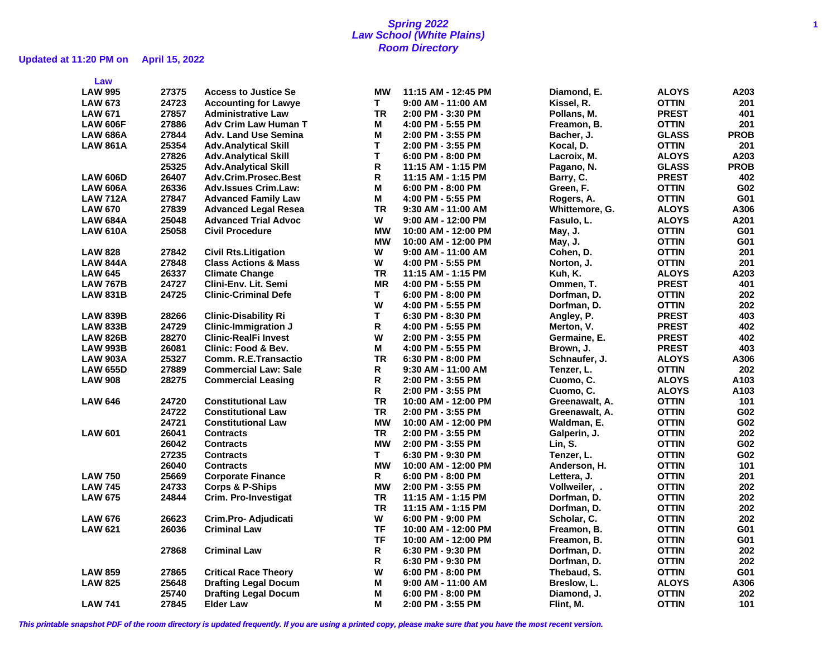# **Updated at 11:20 PM on April 15, 2022**

| Law             |       |                                 |           |                      |                |              |             |
|-----------------|-------|---------------------------------|-----------|----------------------|----------------|--------------|-------------|
| <b>LAW 995</b>  | 27375 | <b>Access to Justice Se</b>     | <b>MW</b> | 11:15 AM - 12:45 PM  | Diamond, E.    | <b>ALOYS</b> | A203        |
| <b>LAW 673</b>  | 24723 | <b>Accounting for Lawye</b>     | T.        | 9:00 AM - 11:00 AM   | Kissel, R.     | <b>OTTIN</b> | 201         |
| <b>LAW 671</b>  | 27857 | <b>Administrative Law</b>       | <b>TR</b> | 2:00 PM - 3:30 PM    | Pollans, M.    | <b>PREST</b> | 401         |
| <b>LAW 606F</b> | 27886 | <b>Adv Crim Law Human T</b>     | М         | 4:00 PM - 5:55 PM    | Freamon, B.    | <b>OTTIN</b> | 201         |
| <b>LAW 686A</b> | 27844 | <b>Adv. Land Use Semina</b>     | M         | 2:00 PM - 3:55 PM    | Bacher, J.     | <b>GLASS</b> | <b>PROB</b> |
| <b>LAW 861A</b> | 25354 | <b>Adv.Analytical Skill</b>     | T.        | 2:00 PM - 3:55 PM    | Kocal, D.      | <b>OTTIN</b> | 201         |
|                 | 27826 | <b>Adv.Analytical Skill</b>     | T.        | 6:00 PM - 8:00 PM    | Lacroix, M.    | <b>ALOYS</b> | A203        |
|                 | 25325 | <b>Adv.Analytical Skill</b>     | R.        | 11:15 AM - 1:15 PM   | Pagano, N.     | <b>GLASS</b> | <b>PROB</b> |
| <b>LAW 606D</b> | 26407 | <b>Adv.Crim.Prosec.Best</b>     | R.        | 11:15 AM - 1:15 PM   | Barry, C.      | <b>PREST</b> | 402         |
| <b>LAW 606A</b> | 26336 | <b>Adv.Issues Crim.Law:</b>     | M         | $6:00$ PM - 8:00 PM  | Green, F.      | <b>OTTIN</b> | G02         |
| <b>LAW 712A</b> | 27847 | <b>Advanced Family Law</b>      | М         | 4:00 PM - 5:55 PM    | Rogers, A.     | <b>OTTIN</b> | G01         |
| <b>LAW 670</b>  | 27839 | <b>Advanced Legal Resea</b>     | <b>TR</b> | 9:30 AM - 11:00 AM   | Whittemore, G. | <b>ALOYS</b> | A306        |
| <b>LAW 684A</b> | 25048 | <b>Advanced Trial Advoc</b>     | W         | $9:00$ AM - 12:00 PM | Fasulo, L.     | <b>ALOYS</b> | A201        |
| <b>LAW 610A</b> | 25058 | <b>Civil Procedure</b>          | <b>MW</b> | 10:00 AM - 12:00 PM  | May, J.        | <b>OTTIN</b> | G01         |
|                 |       |                                 | <b>MW</b> | 10:00 AM - 12:00 PM  | May, J.        | <b>OTTIN</b> | G01         |
| <b>LAW 828</b>  | 27842 | <b>Civil Rts.Litigation</b>     | W         | $9:00$ AM - 11:00 AM | Cohen, D.      | <b>OTTIN</b> | 201         |
| <b>LAW 844A</b> | 27848 | <b>Class Actions &amp; Mass</b> | W         | 4:00 PM - 5:55 PM    | Norton, J.     | <b>OTTIN</b> | 201         |
| <b>LAW 645</b>  | 26337 | <b>Climate Change</b>           | <b>TR</b> | 11:15 AM - 1:15 PM   | Kuh, K.        | <b>ALOYS</b> | A203        |
| <b>LAW 767B</b> | 24727 | Clini-Env. Lit. Semi            | <b>MR</b> | 4:00 PM - 5:55 PM    | Ommen, T.      | <b>PREST</b> | 401         |
|                 | 24725 | <b>Clinic-Criminal Defe</b>     | T.        | $6:00$ PM - 8:00 PM  | Dorfman, D.    | <b>OTTIN</b> | 202         |
| <b>LAW 831B</b> |       |                                 | W         |                      | Dorfman, D.    | <b>OTTIN</b> | 202         |
| <b>LAW 839B</b> | 28266 |                                 | T.        | 4:00 PM - 5:55 PM    |                | <b>PREST</b> | 403         |
|                 |       | <b>Clinic-Disability Ri</b>     | R.        | 6:30 PM - 8:30 PM    | Angley, P.     |              |             |
| <b>LAW 833B</b> | 24729 | <b>Clinic-Immigration J</b>     |           | 4:00 PM - 5:55 PM    | Merton, V.     | <b>PREST</b> | 402         |
| <b>LAW 826B</b> | 28270 | <b>Clinic-RealFi Invest</b>     | W         | 2:00 PM - 3:55 PM    | Germaine, E.   | <b>PREST</b> | 402         |
| <b>LAW 993B</b> | 26081 | <b>Clinic: Food &amp; Bev.</b>  | M         | 4:00 PM - 5:55 PM    | Brown, J.      | <b>PREST</b> | 403         |
| <b>LAW 903A</b> | 25327 | Comm. R.E.Transactio            | <b>TR</b> | $6:30$ PM - 8:00 PM  | Schnaufer, J.  | <b>ALOYS</b> | A306        |
| <b>LAW 655D</b> | 27889 | <b>Commercial Law: Sale</b>     | R         | 9:30 AM - 11:00 AM   | Tenzer, L.     | <b>OTTIN</b> | 202         |
| <b>LAW 908</b>  | 28275 | <b>Commercial Leasing</b>       | R         | 2:00 PM - 3:55 PM    | Cuomo, C.      | <b>ALOYS</b> | A103        |
|                 |       |                                 | R         | 2:00 PM - 3:55 PM    | Cuomo, C.      | <b>ALOYS</b> | A103        |
| <b>LAW 646</b>  | 24720 | <b>Constitutional Law</b>       | <b>TR</b> | 10:00 AM - 12:00 PM  | Greenawalt, A. | <b>OTTIN</b> | 101         |
|                 | 24722 | <b>Constitutional Law</b>       | <b>TR</b> | 2:00 PM - 3:55 PM    | Greenawalt, A. | <b>OTTIN</b> | G02         |
|                 | 24721 | <b>Constitutional Law</b>       | <b>MW</b> | 10:00 AM - 12:00 PM  | Waldman, E.    | <b>OTTIN</b> | G02         |
| <b>LAW 601</b>  | 26041 | <b>Contracts</b>                | <b>TR</b> | 2:00 PM - 3:55 PM    | Galperin, J.   | <b>OTTIN</b> | 202         |
|                 | 26042 | <b>Contracts</b>                | <b>MW</b> | 2:00 PM - 3:55 PM    | Lin, S.        | <b>OTTIN</b> | G02         |
|                 | 27235 | <b>Contracts</b>                | T.        | 6:30 PM - 9:30 PM    | Tenzer, L.     | <b>OTTIN</b> | G02         |
|                 | 26040 | <b>Contracts</b>                | <b>MW</b> | 10:00 AM - 12:00 PM  | Anderson, H.   | <b>OTTIN</b> | 101         |
| <b>LAW 750</b>  | 25669 | <b>Corporate Finance</b>        | R         | $6:00$ PM - 8:00 PM  | Lettera, J.    | <b>OTTIN</b> | 201         |
| <b>LAW 745</b>  | 24733 | Corps & P-Ships                 | <b>MW</b> | 2:00 PM - 3:55 PM    | Vollweiler, .  | <b>OTTIN</b> | 202         |
| <b>LAW 675</b>  | 24844 | Crim. Pro-Investigat            | <b>TR</b> | 11:15 AM - 1:15 PM   | Dorfman, D.    | <b>OTTIN</b> | 202         |
|                 |       |                                 | <b>TR</b> | 11:15 AM - 1:15 PM   | Dorfman, D.    | <b>OTTIN</b> | 202         |
| <b>LAW 676</b>  | 26623 | Crim.Pro- Adjudicati            | W         | 6:00 PM - 9:00 PM    | Scholar, C.    | <b>OTTIN</b> | 202         |
| <b>LAW 621</b>  | 26036 | <b>Criminal Law</b>             | <b>TF</b> | 10:00 AM - 12:00 PM  | Freamon, B.    | <b>OTTIN</b> | G01         |
|                 |       |                                 | <b>TF</b> | 10:00 AM - 12:00 PM  | Freamon, B.    | <b>OTTIN</b> | G01         |
|                 | 27868 | <b>Criminal Law</b>             | R         | 6:30 PM - 9:30 PM    | Dorfman, D.    | <b>OTTIN</b> | 202         |
|                 |       |                                 | R         | 6:30 PM - 9:30 PM    | Dorfman, D.    | <b>OTTIN</b> | 202         |
| <b>LAW 859</b>  | 27865 | <b>Critical Race Theory</b>     | W         | 6:00 PM - 8:00 PM    | Thebaud, S.    | <b>OTTIN</b> | G01         |
| <b>LAW 825</b>  | 25648 | <b>Drafting Legal Docum</b>     | M         | $9:00$ AM - 11:00 AM | Breslow, L.    | <b>ALOYS</b> | A306        |
|                 | 25740 | <b>Drafting Legal Docum</b>     | M         | 6:00 PM - 8:00 PM    | Diamond, J.    | <b>OTTIN</b> | 202         |
| <b>LAW 741</b>  | 27845 | <b>Elder Law</b>                | M         | 2:00 PM - 3:55 PM    | Flint, M.      | <b>OTTIN</b> | 101         |
|                 |       |                                 |           |                      |                |              |             |

**This printable snapshot PDF of the room directory is updated frequently. If you are using a printed copy, please make sure that you have the most recent version.**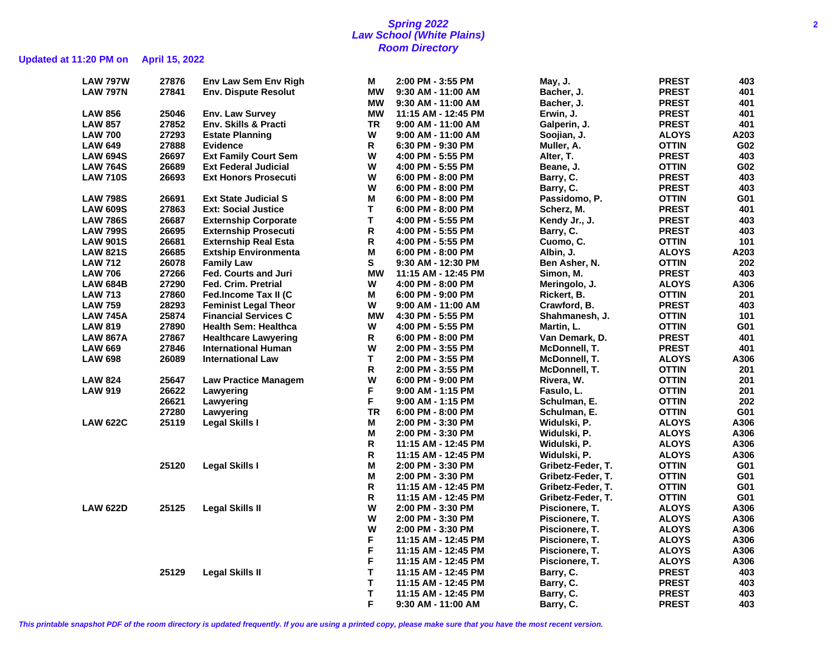### **Spring 2022 2 Law School (White Plains) Room Directory**

# **Updated at 11:20 PM on April 15, 2022**

| <b>LAW 797W</b> | 27876 | <b>Env Law Sem Env Righ</b> | М         | 2:00 PM - 3:55 PM     | May, J.           | <b>PREST</b> | 403  |
|-----------------|-------|-----------------------------|-----------|-----------------------|-------------------|--------------|------|
| <b>LAW 797N</b> | 27841 | <b>Env. Dispute Resolut</b> | МW        | 9:30 AM - 11:00 AM    | Bacher, J.        | <b>PREST</b> | 401  |
|                 |       |                             | <b>MW</b> | 9:30 AM - 11:00 AM    | Bacher, J.        | <b>PREST</b> | 401  |
| <b>LAW 856</b>  | 25046 | <b>Env. Law Survey</b>      | <b>MW</b> | 11:15 AM - 12:45 PM   | Erwin, J.         | <b>PREST</b> | 401  |
| <b>LAW 857</b>  | 27852 | Env. Skills & Practi        | <b>TR</b> | 9:00 AM - 11:00 AM    | Galperin, J.      | <b>PREST</b> | 401  |
| <b>LAW 700</b>  | 27293 | <b>Estate Planning</b>      | W         | 9:00 AM - 11:00 AM    | Soojian, J.       | <b>ALOYS</b> | A203 |
| <b>LAW 649</b>  | 27888 | <b>Evidence</b>             | R         | 6:30 PM - 9:30 PM     | Muller, A.        | <b>OTTIN</b> | G02  |
| <b>LAW 694S</b> | 26697 | <b>Ext Family Court Sem</b> | W         | 4:00 PM - 5:55 PM     | Alter, T.         | <b>PREST</b> | 403  |
| <b>LAW 764S</b> | 26689 | <b>Ext Federal Judicial</b> | W         | 4:00 PM - 5:55 PM     | Beane, J.         | <b>OTTIN</b> | G02  |
| <b>LAW 710S</b> | 26693 | <b>Ext Honors Prosecuti</b> | W         | 6:00 PM - 8:00 PM     | Barry, C.         | <b>PREST</b> | 403  |
|                 |       |                             | W         | 6:00 PM - 8:00 PM     | Barry, C.         | <b>PREST</b> | 403  |
| <b>LAW 798S</b> | 26691 | <b>Ext State Judicial S</b> | М         | $6:00$ PM - $8:00$ PM | Passidomo, P.     | <b>OTTIN</b> | G01  |
| <b>LAW 609S</b> | 27863 | <b>Ext: Social Justice</b>  | Т         | 6:00 PM - 8:00 PM     | Scherz, M.        | <b>PREST</b> | 401  |
| <b>LAW 786S</b> | 26687 | <b>Externship Corporate</b> | Т         | 4:00 PM - 5:55 PM     | Kendy Jr., J.     | <b>PREST</b> | 403  |
| <b>LAW 799S</b> | 26695 | <b>Externship Prosecuti</b> | R         | 4:00 PM - 5:55 PM     | Barry, C.         | <b>PREST</b> | 403  |
| <b>LAW 901S</b> | 26681 | <b>Externship Real Esta</b> | R         | 4:00 PM - 5:55 PM     | Cuomo, C.         | <b>OTTIN</b> | 101  |
| <b>LAW 821S</b> | 26685 | <b>Extship Environmenta</b> | М         | 6:00 PM - 8:00 PM     | Albin, J.         | <b>ALOYS</b> | A203 |
| <b>LAW 712</b>  | 26078 | <b>Family Law</b>           | S         | 9:30 AM - 12:30 PM    | Ben Asher, N.     | <b>OTTIN</b> | 202  |
| <b>LAW 706</b>  | 27266 | <b>Fed. Courts and Juri</b> | <b>MW</b> | 11:15 AM - 12:45 PM   | Simon, M.         | <b>PREST</b> | 403  |
| <b>LAW 684B</b> | 27290 | <b>Fed. Crim. Pretrial</b>  | W         | 4:00 PM - 8:00 PM     | Meringolo, J.     | <b>ALOYS</b> | A306 |
| <b>LAW 713</b>  | 27860 | Fed.Income Tax II (C        | М         | 6:00 PM - 9:00 PM     | Rickert, B.       | <b>OTTIN</b> | 201  |
| <b>LAW 759</b>  | 28293 | <b>Feminist Legal Theor</b> | W         | 9:00 AM - 11:00 AM    | Crawford, B.      | <b>PREST</b> | 403  |
| <b>LAW 745A</b> | 25874 | <b>Financial Services C</b> | <b>MW</b> | 4:30 PM - 5:55 PM     | Shahmanesh, J.    | <b>OTTIN</b> | 101  |
| <b>LAW 819</b>  | 27890 | <b>Health Sem: Healthca</b> | W         | 4:00 PM - 5:55 PM     | Martin, L.        | <b>OTTIN</b> | G01  |
| <b>LAW 867A</b> | 27867 | <b>Healthcare Lawyering</b> | R         | 6:00 PM - 8:00 PM     | Van Demark, D.    | <b>PREST</b> | 401  |
| <b>LAW 669</b>  | 27846 | <b>International Human</b>  | W         | 2:00 PM - 3:55 PM     | McDonnell, T.     | <b>PREST</b> | 401  |
| <b>LAW 698</b>  | 26089 | <b>International Law</b>    | T.        | 2:00 PM - 3:55 PM     | McDonnell, T.     | <b>ALOYS</b> | A306 |
|                 |       |                             | R         | 2:00 PM - 3:55 PM     | McDonnell, T.     | <b>OTTIN</b> | 201  |
| <b>LAW 824</b>  | 25647 | <b>Law Practice Managem</b> | W         | 6:00 PM - 9:00 PM     | Rivera, W.        | <b>OTTIN</b> | 201  |
| <b>LAW 919</b>  | 26622 | Lawyering                   | F         | $9:00$ AM - 1:15 PM   | Fasulo, L.        | <b>OTTIN</b> | 201  |
|                 | 26621 | Lawyering                   | F.        | $9:00$ AM - 1:15 PM   | Schulman, E.      | <b>OTTIN</b> | 202  |
|                 | 27280 | Lawyering                   | <b>TR</b> | 6:00 PM - 8:00 PM     | Schulman, E.      | <b>OTTIN</b> | G01  |
| <b>LAW 622C</b> | 25119 | <b>Legal Skills I</b>       | М         | 2:00 PM - 3:30 PM     | Widulski, P.      | <b>ALOYS</b> | A306 |
|                 |       |                             | М         | 2:00 PM - 3:30 PM     | Widulski, P.      | <b>ALOYS</b> | A306 |
|                 |       |                             | R         | 11:15 AM - 12:45 PM   | Widulski, P.      | <b>ALOYS</b> | A306 |
|                 |       |                             | R         | 11:15 AM - 12:45 PM   | Widulski, P.      | <b>ALOYS</b> | A306 |
|                 | 25120 | <b>Legal Skills I</b>       | Μ         | 2:00 PM - 3:30 PM     | Gribetz-Feder, T. | <b>OTTIN</b> | G01  |
|                 |       |                             | М         | 2:00 PM - 3:30 PM     | Gribetz-Feder, T. | <b>OTTIN</b> | G01  |
|                 |       |                             | R         | 11:15 AM - 12:45 PM   | Gribetz-Feder, T. | <b>OTTIN</b> | G01  |
|                 |       |                             | R         | 11:15 AM - 12:45 PM   | Gribetz-Feder, T. | <b>OTTIN</b> | G01  |
| <b>LAW 622D</b> | 25125 | <b>Legal Skills II</b>      | W         | 2:00 PM - 3:30 PM     | Piscionere, T.    | <b>ALOYS</b> | A306 |
|                 |       |                             | W         | 2:00 PM - 3:30 PM     | Piscionere, T.    | <b>ALOYS</b> | A306 |
|                 |       |                             | W         | 2:00 PM - 3:30 PM     | Piscionere, T.    | <b>ALOYS</b> | A306 |
|                 |       |                             | F         | 11:15 AM - 12:45 PM   | Piscionere, T.    | <b>ALOYS</b> | A306 |
|                 |       |                             | F         | 11:15 AM - 12:45 PM   | Piscionere, T.    | <b>ALOYS</b> | A306 |
|                 |       |                             | F         | 11:15 AM - 12:45 PM   | Piscionere, T.    | <b>ALOYS</b> | A306 |
|                 | 25129 | <b>Legal Skills II</b>      | T         | 11:15 AM - 12:45 PM   | Barry, C.         | <b>PREST</b> | 403  |
|                 |       |                             | T         | 11:15 AM - 12:45 PM   | Barry, C.         | <b>PREST</b> | 403  |
|                 |       |                             | T         | 11:15 AM - 12:45 PM   | Barry, C.         | <b>PREST</b> | 403  |
|                 |       |                             | F         | 9:30 AM - 11:00 AM    | Barry, C.         | <b>PREST</b> | 403  |

**This printable snapshot PDF of the room directory is updated frequently. If you are using a printed copy, please make sure that you have the most recent version.**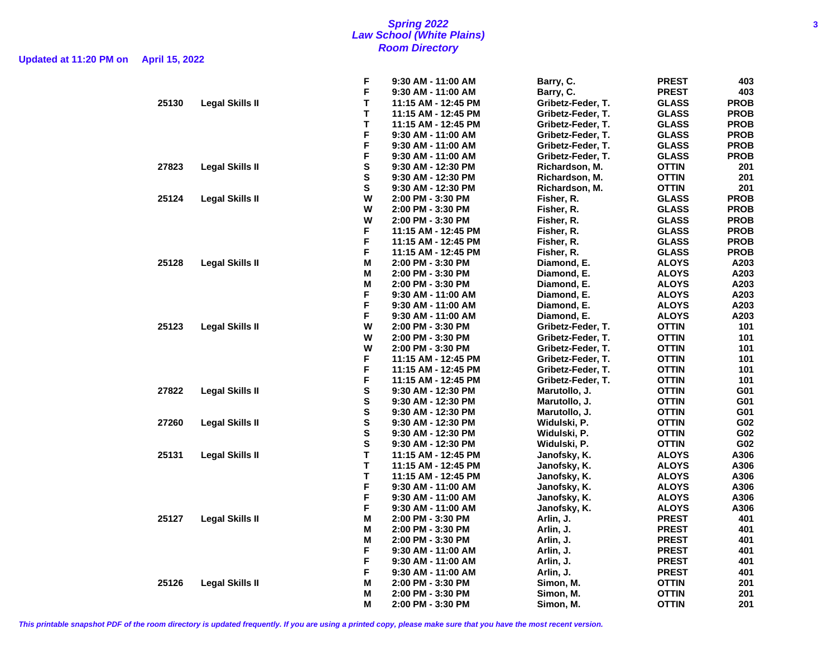### **Spring 2022 3 Law School (White Plains) Room Directory**

**Updated at 11:20 PM on April 15, 2022**

|       |                        | F       | 9:30 AM - 11:00 AM   | Barry, C.         | <b>PREST</b> | 403         |
|-------|------------------------|---------|----------------------|-------------------|--------------|-------------|
|       |                        | F       | 9:30 AM - 11:00 AM   | Barry, C.         | <b>PREST</b> | 403         |
| 25130 | <b>Legal Skills II</b> | T       | 11:15 AM - 12:45 PM  | Gribetz-Feder, T. | <b>GLASS</b> | <b>PROB</b> |
|       |                        | T       | 11:15 AM - 12:45 PM  | Gribetz-Feder, T. | <b>GLASS</b> | <b>PROB</b> |
|       |                        | T       | 11:15 AM - 12:45 PM  | Gribetz-Feder, T. | <b>GLASS</b> | <b>PROB</b> |
|       |                        | F       | $9:30$ AM - 11:00 AM | Gribetz-Feder, T. | <b>GLASS</b> | <b>PROB</b> |
|       |                        | F       | $9:30$ AM - 11:00 AM | Gribetz-Feder, T. | <b>GLASS</b> | <b>PROB</b> |
|       |                        | F       | $9:30$ AM - 11:00 AM | Gribetz-Feder, T. | <b>GLASS</b> | <b>PROB</b> |
| 27823 | <b>Legal Skills II</b> | S       | 9:30 AM - 12:30 PM   | Richardson, M.    | <b>OTTIN</b> | 201         |
|       |                        | S       | 9:30 AM - 12:30 PM   | Richardson, M.    | <b>OTTIN</b> | 201         |
|       |                        | S       | 9:30 AM - 12:30 PM   | Richardson, M.    | <b>OTTIN</b> | 201         |
| 25124 | Legal Skills II        | W       | 2:00 PM - 3:30 PM    | Fisher, R.        | <b>GLASS</b> | <b>PROB</b> |
|       |                        | W       | 2:00 PM - 3:30 PM    | Fisher, R.        | <b>GLASS</b> | <b>PROB</b> |
|       |                        | W       | 2:00 PM - 3:30 PM    | Fisher, R.        | <b>GLASS</b> | <b>PROB</b> |
|       |                        | F       | 11:15 AM - 12:45 PM  | Fisher, R.        | <b>GLASS</b> | <b>PROB</b> |
|       |                        | F       | 11:15 AM - 12:45 PM  | Fisher, R.        | <b>GLASS</b> | <b>PROB</b> |
|       |                        | F       | 11:15 AM - 12:45 PM  | Fisher, R.        | <b>GLASS</b> | <b>PROB</b> |
| 25128 | <b>Legal Skills II</b> | м       | 2:00 PM - 3:30 PM    | Diamond, E.       | <b>ALOYS</b> | A203        |
|       |                        | М       | 2:00 PM - 3:30 PM    | Diamond, E.       | <b>ALOYS</b> | A203        |
|       |                        | М       | 2:00 PM - 3:30 PM    | Diamond, E.       | <b>ALOYS</b> | A203        |
|       |                        | F       | 9:30 AM - 11:00 AM   | Diamond, E.       | <b>ALOYS</b> | A203        |
|       |                        | F       | 9:30 AM - 11:00 AM   | Diamond, E.       | <b>ALOYS</b> | A203        |
|       |                        | F       | $9:30$ AM - 11:00 AM | Diamond, E.       | <b>ALOYS</b> | A203        |
| 25123 | <b>Legal Skills II</b> | W       | 2:00 PM - 3:30 PM    | Gribetz-Feder, T. | <b>OTTIN</b> | 101         |
|       |                        | W       | 2:00 PM - 3:30 PM    | Gribetz-Feder, T. | <b>OTTIN</b> | 101         |
|       |                        | W       | 2:00 PM - 3:30 PM    | Gribetz-Feder, T. | <b>OTTIN</b> | 101         |
|       |                        | F       | 11:15 AM - 12:45 PM  | Gribetz-Feder, T. | <b>OTTIN</b> | 101         |
|       |                        | F       | 11:15 AM - 12:45 PM  | Gribetz-Feder, T. | <b>OTTIN</b> | 101         |
|       |                        | F       | 11:15 AM - 12:45 PM  | Gribetz-Feder, T. | <b>OTTIN</b> | 101         |
| 27822 | <b>Legal Skills II</b> | S       | 9:30 AM - 12:30 PM   | Marutollo, J.     | <b>OTTIN</b> | G01         |
|       |                        | S       | 9:30 AM - 12:30 PM   | Marutollo, J.     | <b>OTTIN</b> | G01         |
|       |                        | S       | $9:30$ AM - 12:30 PM | Marutollo, J.     | <b>OTTIN</b> | G01         |
| 27260 | Legal Skills II        | S       | 9:30 AM - 12:30 PM   | Widulski, P.      | <b>OTTIN</b> | G02         |
|       |                        | S       | 9:30 AM - 12:30 PM   | Widulski, P.      | <b>OTTIN</b> | G02         |
|       |                        | S       | $9:30$ AM - 12:30 PM | Widulski, P.      | <b>OTTIN</b> | G02         |
| 25131 | Legal Skills II        | T       | 11:15 AM - 12:45 PM  | Janofsky, K.      | <b>ALOYS</b> | A306        |
|       |                        | т       | 11:15 AM - 12:45 PM  | Janofsky, K.      | <b>ALOYS</b> | A306        |
|       |                        | T       | 11:15 AM - 12:45 PM  | Janofsky, K.      | <b>ALOYS</b> | A306        |
|       |                        | F       | 9:30 AM - 11:00 AM   | Janofsky, K.      | <b>ALOYS</b> | A306        |
|       |                        | F       | 9:30 AM - 11:00 AM   | Janofsky, K.      | <b>ALOYS</b> | A306        |
|       |                        | F       | 9:30 AM - 11:00 AM   | Janofsky, K.      | <b>ALOYS</b> | A306        |
| 25127 | <b>Legal Skills II</b> | М       |                      |                   | <b>PREST</b> | 401         |
|       |                        |         | 2:00 PM - 3:30 PM    | Arlin, J.         |              |             |
|       |                        | Μ       | 2:00 PM - 3:30 PM    | Arlin, J.         | <b>PREST</b> | 401         |
|       |                        | Μ<br>F. | 2:00 PM - 3:30 PM    | Arlin, J.         | <b>PREST</b> | 401         |
|       |                        | F       | $9:30$ AM - 11:00 AM | Arlin, J.         | <b>PREST</b> | 401         |
|       |                        | F       | $9:30$ AM - 11:00 AM | Arlin, J.         | <b>PREST</b> | 401         |
|       |                        |         | 9:30 AM - 11:00 AM   | Arlin, J.         | <b>PREST</b> | 401         |
| 25126 | <b>Legal Skills II</b> | М       | 2:00 PM - 3:30 PM    | Simon, M.         | OTTIN        | 201         |
|       |                        | М       | 2:00 PM - 3:30 PM    | Simon, M.         | <b>OTTIN</b> | 201         |
|       |                        | М       | 2:00 PM - 3:30 PM    | Simon, M.         | <b>OTTIN</b> | 201         |

**This printable snapshot PDF of the room directory is updated frequently. If you are using a printed copy, please make sure that you have the most recent version.**